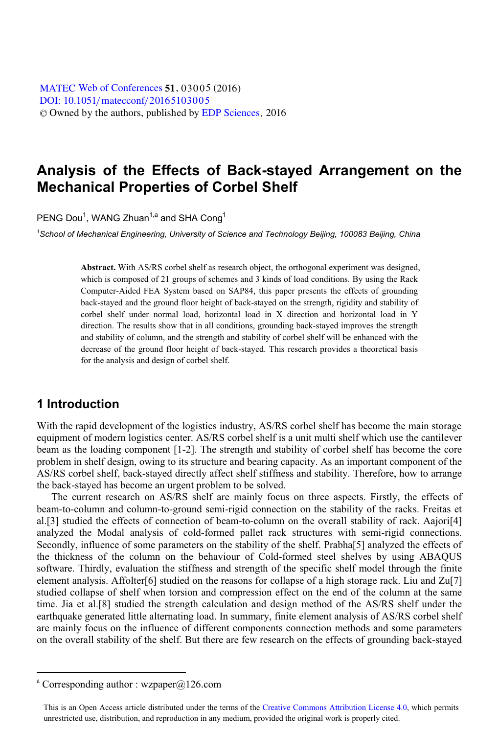[DOI: 10.1051](http://dx.doi.org/10.1051/matecconf/20165103005)/matecconf/20165103005 © Owned by the authors, published by [EDP Sciences](http://www.edpsciences.org), 2016 MATEC [Web of Conferences](http://www.matec-conferences.org) 51, 03005 (2016)

# **Analysis of the Effects of Back-stayed Arrangement on the Mechanical Properties of Corbel Shelf**

PENG Dou<sup>1</sup>, WANG Zhuan<sup>1,a</sup> and SHA Cong<sup>1</sup>

*1 School of Mechanical Engineering, University of Science and Technology Beijing, 100083 Beijing, China* 

**Abstract.** With AS/RS corbel shelf as research object, the orthogonal experiment was designed, which is composed of 21 groups of schemes and 3 kinds of load conditions. By using the Rack Computer-Aided FEA System based on SAP84, this paper presents the effects of grounding back-stayed and the ground floor height of back-stayed on the strength, rigidity and stability of corbel shelf under normal load, horizontal load in X direction and horizontal load in Y direction. The results show that in all conditions, grounding back-stayed improves the strength and stability of column, and the strength and stability of corbel shelf will be enhanced with the decrease of the ground floor height of back-stayed. This research provides a theoretical basis for the analysis and design of corbel shelf.

## **1 Introduction**

With the rapid development of the logistics industry, AS/RS corbel shelf has become the main storage equipment of modern logistics center. AS/RS corbel shelf is a unit multi shelf which use the cantilever beam as the loading component [1-2]. The strength and stability of corbel shelf has become the core problem in shelf design, owing to its structure and bearing capacity. As an important component of the AS/RS corbel shelf, back-stayed directly affect shelf stiffness and stability. Therefore, how to arrange the back-stayed has become an urgent problem to be solved.

The current research on AS/RS shelf are mainly focus on three aspects. Firstly, the effects of beam-to-column and column-to-ground semi-rigid connection on the stability of the racks. Freitas et al.[3] studied the effects of connection of beam-to-column on the overall stability of rack. Aajori[4] analyzed the Modal analysis of cold-formed pallet rack structures with semi-rigid connections. Secondly, influence of some parameters on the stability of the shelf. Prabha[5] analyzed the effects of the thickness of the column on the behaviour of Cold-formed steel shelves by using ABAQUS software. Thirdly, evaluation the stiffness and strength of the specific shelf model through the finite element analysis. Affolter[6] studied on the reasons for collapse of a high storage rack. Liu and Zu[7] studied collapse of shelf when torsion and compression effect on the end of the column at the same time. Jia et al.[8] studied the strength calculation and design method of the AS/RS shelf under the earthquake generated little alternating load. In summary, finite element analysis of AS/RS corbel shelf are mainly focus on the influence of different components connection methods and some parameters on the overall stability of the shelf. But there are few research on the effects of grounding back-stayed

 $\overline{a}$ 

a Corresponding author : wzpaper@126.com

This is an Open Access article distributed under the terms of the Creative Commons Attribution License 4.0, which permits unrestricted use, distribution, and reproduction in any medium, provided the original work is properly cited.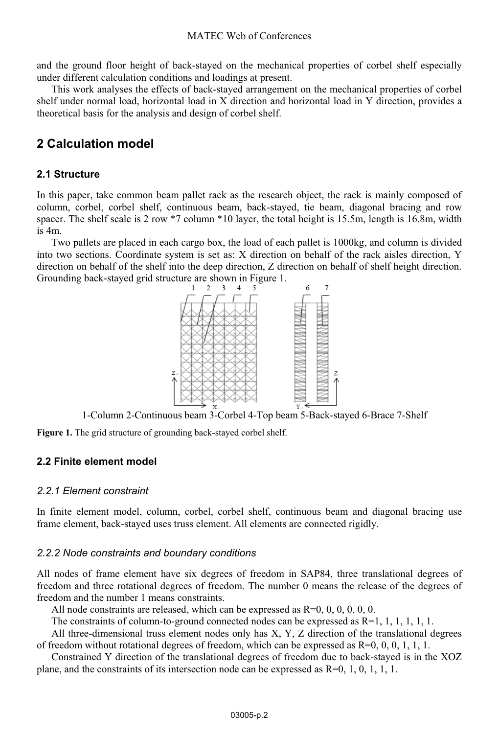and the ground floor height of back-stayed on the mechanical properties of corbel shelf especially under different calculation conditions and loadings at present.

This work analyses the effects of back-stayed arrangement on the mechanical properties of corbel shelf under normal load, horizontal load in X direction and horizontal load in Y direction, provides a theoretical basis for the analysis and design of corbel shelf.

# **2 Calculation model**

### **2.1 Structure**

In this paper, take common beam pallet rack as the research object, the rack is mainly composed of column, corbel, corbel shelf, continuous beam, back-stayed, tie beam, diagonal bracing and row spacer. The shelf scale is 2 row \*7 column \*10 layer, the total height is 15.5m, length is 16.8m, width is 4m.

Two pallets are placed in each cargo box, the load of each pallet is 1000kg, and column is divided into two sections. Coordinate system is set as: X direction on behalf of the rack aisles direction, Y direction on behalf of the shelf into the deep direction, Z direction on behalf of shelf height direction. Grounding back-stayed grid structure are shown in Figure 1.



1-Column 2-Continuous beam 3-Corbel 4-Top beam 5-Back-stayed 6-Brace 7-Shelf

**Figure 1.** The grid structure of grounding back-stayed corbel shelf.

## **2.2 Finite element model**

#### *2.2.1 Element constraint*

In finite element model, column, corbel, corbel shelf, continuous beam and diagonal bracing use frame element, back-stayed uses truss element. All elements are connected rigidly.

#### *2.2.2 Node constraints and boundary conditions*

All nodes of frame element have six degrees of freedom in SAP84, three translational degrees of freedom and three rotational degrees of freedom. The number 0 means the release of the degrees of freedom and the number 1 means constraints.

All node constraints are released, which can be expressed as  $R=0, 0, 0, 0, 0, 0$ .

The constraints of column-to-ground connected nodes can be expressed as  $R=1, 1, 1, 1, 1, 1$ .

All three-dimensional truss element nodes only has X, Y, Z direction of the translational degrees of freedom without rotational degrees of freedom, which can be expressed as  $R=0, 0, 0, 1, 1, 1$ .

Constrained Y direction of the translational degrees of freedom due to back-stayed is in the XOZ plane, and the constraints of its intersection node can be expressed as R=0, 1, 0, 1, 1, 1.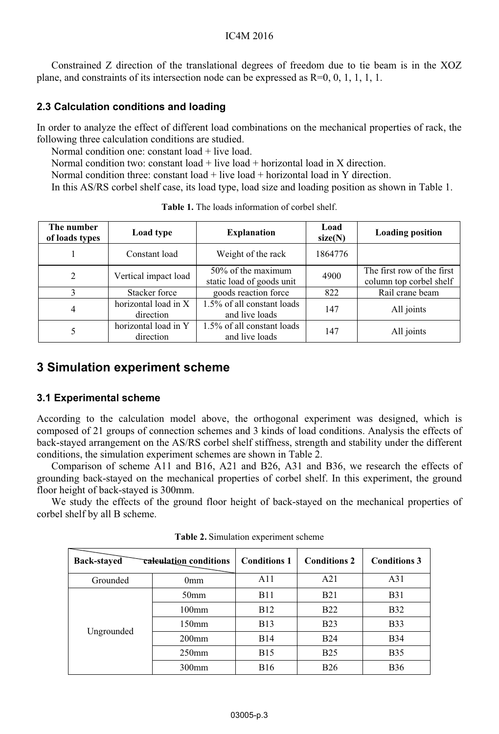#### IC4M 2016

Constrained Z direction of the translational degrees of freedom due to tie beam is in the XOZ plane, and constraints of its intersection node can be expressed as  $R=0, 0, 1, 1, 1, 1$ .

### **2.3 Calculation conditions and loading**

In order to analyze the effect of different load combinations on the mechanical properties of rack, the following three calculation conditions are studied.

Normal condition one: constant  $load + live$  load.

Normal condition two: constant load + live load + horizontal load in X direction.

Normal condition three: constant load + live load + horizontal load in Y direction.

In this AS/RS corbel shelf case, its load type, load size and loading position as shown in Table 1.

| The number<br>of loads types | Load type                         | <b>Explanation</b>                              | Load<br>size(N) | <b>Loading position</b>                               |  |
|------------------------------|-----------------------------------|-------------------------------------------------|-----------------|-------------------------------------------------------|--|
|                              | Constant load                     | Weight of the rack                              | 1864776         |                                                       |  |
| 2                            | Vertical impact load              | 50% of the maximum<br>static load of goods unit | 4900            | The first row of the first<br>column top corbel shelf |  |
| 3                            | Stacker force                     | goods reaction force                            | 822             | Rail crane beam                                       |  |
| 4                            | horizontal load in X<br>direction | 1.5% of all constant loads<br>and live loads    | 147             | All joints                                            |  |
| 5                            | horizontal load in Y<br>direction | 1.5% of all constant loads<br>and live loads    | 147             | All joints                                            |  |

**Table 1.** The loads information of corbel shelf.

# **3 Simulation experiment scheme**

## **3.1 Experimental scheme**

According to the calculation model above, the orthogonal experiment was designed, which is composed of 21 groups of connection schemes and 3 kinds of load conditions. Analysis the effects of back-stayed arrangement on the AS/RS corbel shelf stiffness, strength and stability under the different conditions, the simulation experiment schemes are shown in Table 2.

Comparison of scheme A11 and B16, A21 and B26, A31 and B36, we research the effects of grounding back-stayed on the mechanical properties of corbel shelf. In this experiment, the ground floor height of back-stayed is 300mm.

We study the effects of the ground floor height of back-stayed on the mechanical properties of corbel shelf by all B scheme.

| <b>Back-stayed</b> | <del>calcu</del> lat <u>i</u> on conditions | <b>Conditions 1</b> | <b>Conditions 2</b> | <b>Conditions 3</b> |
|--------------------|---------------------------------------------|---------------------|---------------------|---------------------|
| Grounded           | 0mm                                         | A11                 | A21                 | A31                 |
| Ungrounded         | 50 <sub>mm</sub>                            | <b>B11</b>          | <b>B21</b>          | <b>B</b> 31         |
|                    | $100$ mm                                    | <b>B12</b>          | <b>B22</b>          | <b>B32</b>          |
|                    | $150$ mm                                    | <b>B</b> 13         | <b>B23</b>          | <b>B</b> 33         |
|                    | $200$ mm                                    | <b>B14</b>          | <b>B24</b>          | <b>B</b> 34         |
|                    | $250$ mm                                    | <b>B</b> 15         | <b>B25</b>          | <b>B35</b>          |
|                    | $300$ mm                                    | <b>B</b> 16         | <b>B26</b>          | <b>B36</b>          |

**Table 2.** Simulation experiment scheme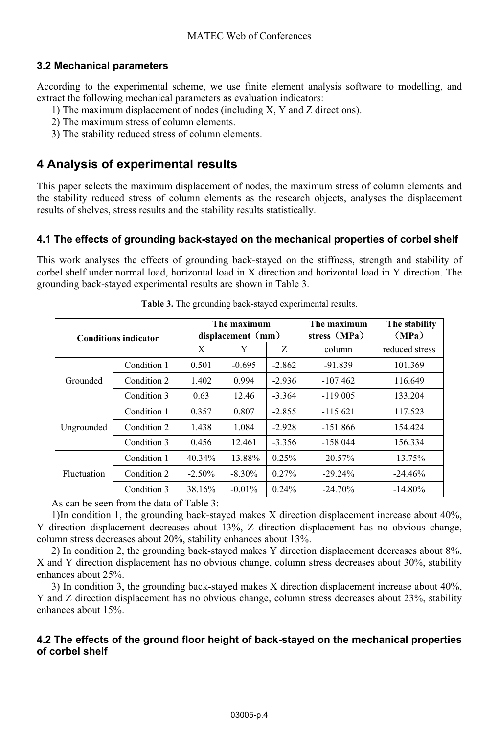### **3.2 Mechanical parameters**

According to the experimental scheme, we use finite element analysis software to modelling, and extract the following mechanical parameters as evaluation indicators:

- 1) The maximum displacement of nodes (including X, Y and Z directions).
- 2) The maximum stress of column elements.
- 3) The stability reduced stress of column elements.

## **4 Analysis of experimental results**

This paper selects the maximum displacement of nodes, the maximum stress of column elements and the stability reduced stress of column elements as the research objects, analyses the displacement results of shelves, stress results and the stability results statistically.

### **4.1 The effects of grounding back-stayed on the mechanical properties of corbel shelf**

This work analyses the effects of grounding back-stayed on the stiffness, strength and stability of corbel shelf under normal load, horizontal load in X direction and horizontal load in Y direction. The grounding back-stayed experimental results are shown in Table 3.

| <b>Conditions indicator</b> |             |           | The maximum<br>displacement (mm) |          | The maximum<br>stress (MPa) | The stability<br>(MPa) |
|-----------------------------|-------------|-----------|----------------------------------|----------|-----------------------------|------------------------|
|                             |             | X         | Y                                | Z.       | column                      | reduced stress         |
|                             | Condition 1 | 0.501     | $-0.695$                         | $-2.862$ | $-91.839$                   | 101.369                |
| Grounded                    | Condition 2 | 1.402     | 0.994                            | $-2.936$ | $-107.462$                  | 116.649                |
|                             | Condition 3 | 0.63      | 12.46                            | $-3.364$ | $-119.005$                  | 133.204                |
| Ungrounded                  | Condition 1 | 0.357     | 0.807                            | $-2.855$ | $-115.621$                  | 117.523                |
|                             | Condition 2 | 1.438     | 1.084                            | $-2.928$ | $-151.866$                  | 154.424                |
|                             | Condition 3 | 0.456     | 12.461                           | $-3.356$ | $-158.044$                  | 156.334                |
| <b>Fluctuation</b>          | Condition 1 | 40.34%    | $-13.88\%$                       | 0.25%    | $-20.57\%$                  | $-13.75%$              |
|                             | Condition 2 | $-2.50\%$ | $-8.30\%$                        | $0.27\%$ | $-29.24%$                   | $-24.46%$              |
|                             | Condition 3 | 38.16%    | $-0.01\%$                        | $0.24\%$ | $-24.70%$                   | $-14.80\%$             |

**Table 3.** The grounding back-stayed experimental results.

As can be seen from the data of Table 3:

1)In condition 1, the grounding back-stayed makes X direction displacement increase about 40%, Y direction displacement decreases about 13%, Z direction displacement has no obvious change, column stress decreases about 20%, stability enhances about 13%.

2) In condition 2, the grounding back-stayed makes Y direction displacement decreases about 8%, X and Y direction displacement has no obvious change, column stress decreases about 30%, stability enhances about 25%.

3) In condition 3, the grounding back-stayed makes X direction displacement increase about 40%, Y and Z direction displacement has no obvious change, column stress decreases about 23%, stability enhances about 15%.

#### **4.2 The effects of the ground floor height of back-stayed on the mechanical properties of corbel shelf**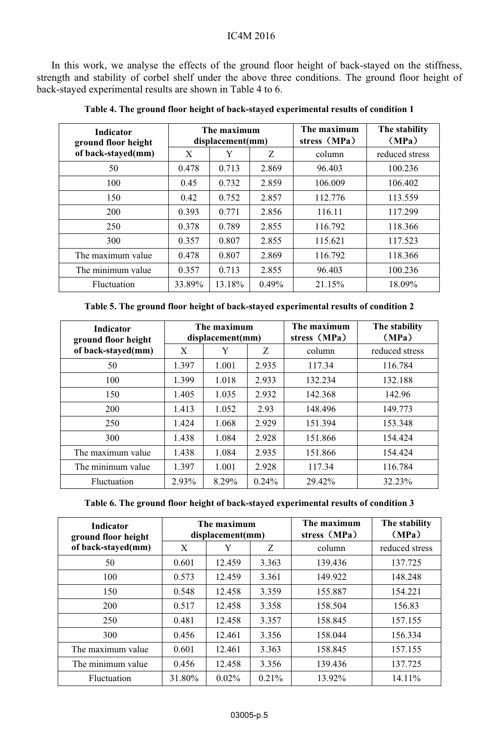In this work, we analyse the effects of the ground floor height of back-stayed on the stiffness, strength and stability of corbel shelf under the above three conditions. The ground floor height of back-stayed experimental results are shown in Table 4 to 6.

| <b>Indicator</b><br>ground floor height | The maximum<br>displacement(mm) |        |       | The maximum<br>stress (MPa) | The stability<br>(MPa) |
|-----------------------------------------|---------------------------------|--------|-------|-----------------------------|------------------------|
| of back-stayed(mm)                      | X                               | Y      | Z     | column                      | reduced stress         |
| 50                                      | 0.478                           | 0.713  | 2.869 | 96.403                      | 100.236                |
| 100                                     | 0.45                            | 0.732  | 2.859 | 106.009                     | 106.402                |
| 150                                     | 0.42                            | 0.752  | 2.857 | 112.776                     | 113.559                |
| 200                                     | 0.393                           | 0.771  | 2.856 | 116.11                      | 117.299                |
| 250                                     | 0.378                           | 0.789  | 2.855 | 116.792                     | 118.366                |
| 300                                     | 0.357                           | 0.807  | 2.855 | 115.621                     | 117.523                |
| The maximum value                       | 0.478                           | 0.807  | 2.869 | 116.792                     | 118.366                |
| The minimum value                       | 0.357                           | 0.713  | 2.855 | 96.403                      | 100.236                |
| Fluctuation                             | 33.89%                          | 13.18% | 0.49% | 21.15%                      | 18.09%                 |

#### **Table 4. The ground floor height of back-stayed experimental results of condition 1**

**Table 5. The ground floor height of back-stayed experimental results of condition 2** 

| <b>Indicator</b><br>ground floor height |       | The maximum<br>displacement(mm) | The maximum<br>stress (MPa) |         | The stability<br>(MPa) |
|-----------------------------------------|-------|---------------------------------|-----------------------------|---------|------------------------|
| of back-stayed(mm)                      | X     | Y                               | Z                           | column  | reduced stress         |
| 50                                      | 1.397 | 1.001                           | 2.935                       | 117.34  | 116.784                |
| 100                                     | 1.399 | 1.018                           | 2.933                       | 132.234 | 132.188                |
| 150                                     | 1.405 | 1.035                           | 2.932                       | 142.368 | 142.96                 |
| 200                                     | 1.413 | 1.052                           | 2.93                        | 148.496 | 149.773                |
| 250                                     | 1.424 | 1.068                           | 2.929                       | 151.394 | 153.348                |
| 300                                     | 1.438 | 1.084                           | 2.928                       | 151.866 | 154.424                |
| The maximum value                       | 1.438 | 1.084                           | 2.935                       | 151.866 | 154.424                |
| The minimum value                       | 1.397 | 1.001                           | 2.928                       | 117.34  | 116.784                |
| Fluctuation                             | 2.93% | 8.29%                           | $0.24\%$                    | 29.42%  | 32.23%                 |

#### **Table 6. The ground floor height of back-stayed experimental results of condition 3**

| <b>Indicator</b><br>ground floor height | The maximum<br>displacement(mm) |          |       | The maximum<br>stress (MPa) | The stability<br>(MPa) |
|-----------------------------------------|---------------------------------|----------|-------|-----------------------------|------------------------|
| of back-stayed(mm)                      | X                               | Y        | Z     | column                      | reduced stress         |
| 50                                      | 0.601                           | 12.459   | 3.363 | 139.436                     | 137.725                |
| 100                                     | 0.573                           | 12.459   | 3.361 | 149.922                     | 148.248                |
| 150                                     | 0.548                           | 12.458   | 3.359 | 155.887                     | 154.221                |
| 200                                     | 0.517                           | 12.458   | 3.358 | 158.504                     | 156.83                 |
| 250                                     | 0.481                           | 12.458   | 3.357 | 158.845                     | 157.155                |
| 300                                     | 0.456                           | 12.461   | 3.356 | 158.044                     | 156.334                |
| The maximum value                       | 0.601                           | 12.461   | 3.363 | 158.845                     | 157.155                |
| The minimum value                       | 0.456                           | 12.458   | 3.356 | 139.436                     | 137.725                |
| Fluctuation                             | 31.80%                          | $0.02\%$ | 0.21% | 13.92%                      | 14.11%                 |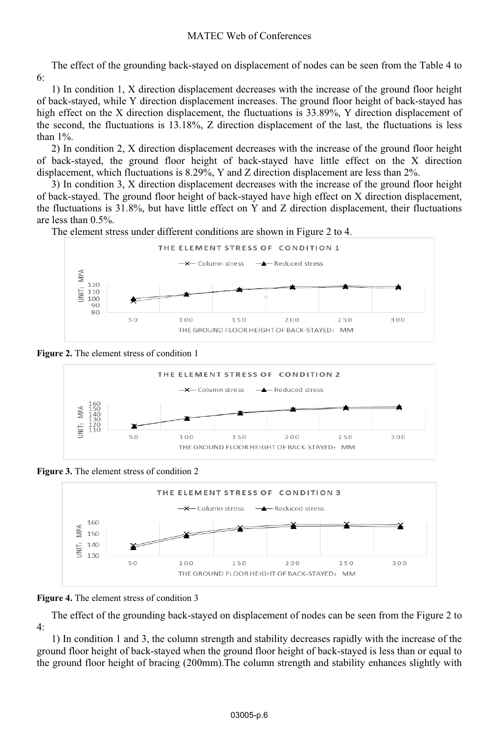#### MATEC Web of Conferences

The effect of the grounding back-stayed on displacement of nodes can be seen from the Table 4 to 6:

1) In condition 1, X direction displacement decreases with the increase of the ground floor height of back-stayed, while Y direction displacement increases. The ground floor height of back-stayed has high effect on the X direction displacement, the fluctuations is 33.89%, Y direction displacement of the second, the fluctuations is 13.18%, Z direction displacement of the last, the fluctuations is less than 1%.

2) In condition 2, X direction displacement decreases with the increase of the ground floor height of back-stayed, the ground floor height of back-stayed have little effect on the X direction displacement, which fluctuations is 8.29%, Y and Z direction displacement are less than 2%.

3) In condition 3, X direction displacement decreases with the increase of the ground floor height of back-stayed. The ground floor height of back-stayed have high effect on X direction displacement, the fluctuations is 31.8%, but have little effect on Y and Z direction displacement, their fluctuations are less than 0.5%.

The element stress under different conditions are shown in Figure 2 to 4.







**Figure 3.** The element stress of condition 2



**Figure 4.** The element stress of condition 3

The effect of the grounding back-stayed on displacement of nodes can be seen from the Figure 2 to 4:

1) In condition 1 and 3, the column strength and stability decreases rapidly with the increase of the ground floor height of back-stayed when the ground floor height of back-stayed is less than or equal to the ground floor height of bracing (200mm).The column strength and stability enhances slightly with